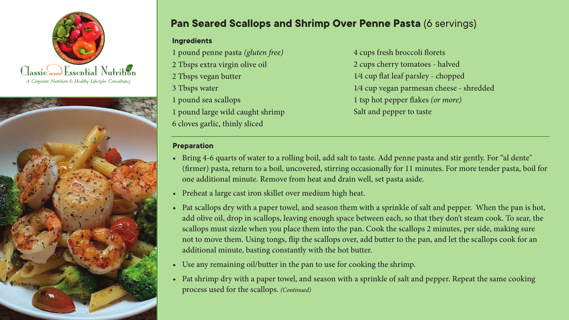



## **Pan Seared Scallops and Shrimp Over Penne Pasta** (6 servings)

## **Ingredients**

1 pound penne pasta *(gluten free)* 2 Tbsps extra virgin olive oil 2 Tbsps vegan butter 3 Tbsps water 1 pound sea scallops 1 pound large wild caught shrimp 6 cloves garlic, thinly sliced

4 cups fresh broccoli florets 2 cups cherry tomatoes - halved 1⁄4 cup flat leaf parsley - chopped 1⁄4 cup vegan parmesan cheese - shredded 1 tsp hot pepper flakes *(or more)* Salt and pepper to taste

## **Preparation**

- Bring 4-6 quarts of water to a rolling boil, add salt to taste. Add penne pasta and stir gently. For "al dente" (firmer) pasta, return to a boil, uncovered, stirring occasionally for 11 minutes. For more tender pasta, boil for one additional minute. Remove from heat and drain well, set pasta aside.
- *•*  Preheat a large cast iron skillet over medium high heat.
- Pat scallops dry with a paper towel, and season them with a sprinkle of salt and pepper. When the pan is hot, add olive oil, drop in scallops, leaving enough space between each, so that they don't steam cook. To sear, the scallops must sizzle when you place them into the pan. Cook the scallops 2 minutes, per side, making sure not to move them. Using tongs, flip the scallops over, add butter to the pan, and let the scallops cook for an additional minute, basting constantly with the hot butter.
- Use any remaining oil/butter in the pan to use for cooking the shrimp.
- Pat shrimp dry with a paper towel, and season with a sprinkle of salt and pepper. Repeat the same cooking process used for the scallops. *(Continued)*